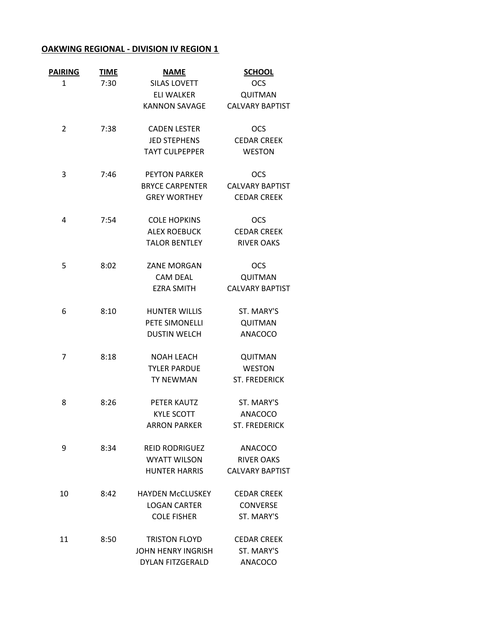## **OAKWING REGIONAL ‐ DIVISION IV REGION 1**

| <b>PAIRING</b> | <b>TIME</b> | <b>NAME</b>               | <b>SCHOOL</b>          |
|----------------|-------------|---------------------------|------------------------|
| 1              | 7:30        | <b>SILAS LOVETT</b>       | <b>OCS</b>             |
|                |             | <b>ELI WALKER</b>         | QUITMAN                |
|                |             | <b>KANNON SAVAGE</b>      | <b>CALVARY BAPTIST</b> |
| 2              | 7:38        | <b>CADEN LESTER</b>       | <b>OCS</b>             |
|                |             | <b>JED STEPHENS</b>       | <b>CEDAR CREEK</b>     |
|                |             | <b>TAYT CULPEPPER</b>     | <b>WESTON</b>          |
| 3              | 7:46        | <b>PEYTON PARKER</b>      | <b>OCS</b>             |
|                |             | <b>BRYCE CARPENTER</b>    | <b>CALVARY BAPTIST</b> |
|                |             | <b>GREY WORTHEY</b>       | <b>CEDAR CREEK</b>     |
| 4              | 7:54        | <b>COLE HOPKINS</b>       | <b>OCS</b>             |
|                |             | <b>ALEX ROEBUCK</b>       | <b>CEDAR CREEK</b>     |
|                |             | <b>TALOR BENTLEY</b>      | <b>RIVER OAKS</b>      |
| 5              | 8:02        | ZANE MORGAN               | <b>OCS</b>             |
|                |             | <b>CAM DEAL</b>           | QUITMAN                |
|                |             | <b>EZRA SMITH</b>         | <b>CALVARY BAPTIST</b> |
| 6              | 8:10        | <b>HUNTER WILLIS</b>      | ST. MARY'S             |
|                |             | PETE SIMONELLI            | <b>QUITMAN</b>         |
|                |             | <b>DUSTIN WELCH</b>       | <b>ANACOCO</b>         |
| 7              | 8:18        | <b>NOAH LEACH</b>         | <b>QUITMAN</b>         |
|                |             | <b>TYLER PARDUE</b>       | <b>WESTON</b>          |
|                |             | <b>TY NEWMAN</b>          | <b>ST. FREDERICK</b>   |
| 8              | 8:26        | PETER KAUTZ               | ST. MARY'S             |
|                |             | <b>KYLE SCOTT</b>         | <b>ANACOCO</b>         |
|                |             | <b>ARRON PARKER</b>       | <b>ST. FREDERICK</b>   |
| 9              | 8:34        | <b>REID RODRIGUEZ</b>     | ANACOCO                |
|                |             | <b>WYATT WILSON</b>       | <b>RIVER OAKS</b>      |
|                |             | <b>HUNTER HARRIS</b>      | <b>CALVARY BAPTIST</b> |
| 10             | 8:42        | <b>HAYDEN McCLUSKEY</b>   | <b>CEDAR CREEK</b>     |
|                |             | <b>LOGAN CARTER</b>       | <b>CONVERSE</b>        |
|                |             | <b>COLE FISHER</b>        | ST. MARY'S             |
| 11             | 8:50        | <b>TRISTON FLOYD</b>      | <b>CEDAR CREEK</b>     |
|                |             | <b>JOHN HENRY INGRISH</b> | ST. MARY'S             |
|                |             | DYLAN FITZGERALD          | <b>ANACOCO</b>         |